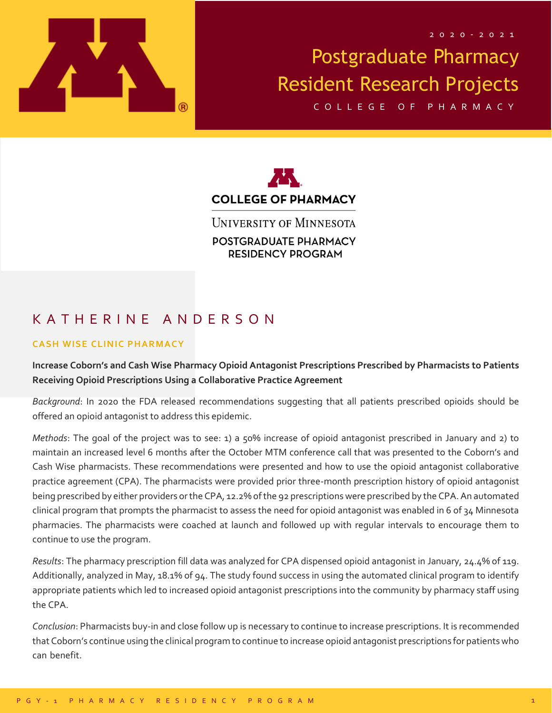

C O L L E G E O F P H A R M A C Y



**UNIVERSITY OF MINNESOTA** POSTGRADUATE PHARMACY **RESIDENCY PROGRAM** 

## K A T H E R I N E A N D E R S O N

#### **CASH WISE CLINIC PHARMACY**

### **Increase Coborn's and Cash Wise Pharmacy Opioid Antagonist Prescriptions Prescribed by Pharmacists to Patients Receiving Opioid Prescriptions Using a Collaborative Practice Agreement**

*Background*: In 2020 the FDA released recommendations suggesting that all patients prescribed opioids should be offered an opioid antagonist to address this epidemic.

*Methods*: The goal of the project was to see: 1) a 50% increase of opioid antagonist prescribed in January and 2) to maintain an increased level 6 months after the October MTM conference call that was presented to the Coborn's and Cash Wise pharmacists. These recommendations were presented and how to use the opioid antagonist collaborative practice agreement (CPA). The pharmacists were provided prior three-month prescription history of opioid antagonist being prescribed by either providers or the CPA, 12.2% of the 92 prescriptions were prescribed by the CPA. An automated clinical program that prompts the pharmacist to assess the need for opioid antagonist was enabled in 6 of 34 Minnesota pharmacies. The pharmacists were coached at launch and followed up with regular intervals to encourage them to continue to use the program.

*Results*: The pharmacy prescription fill data was analyzed for CPA dispensed opioid antagonist in January, 24.4% of 119. Additionally, analyzed in May, 18.1% of 94. The study found success in using the automated clinical program to identify appropriate patients which led to increased opioid antagonist prescriptions into the community by pharmacy staff using the CPA.

*Conclusion*: Pharmacists buy-in and close follow up is necessary to continue to increase prescriptions. It is recommended that Coborn's continue using the clinical program to continue to increase opioid antagonist prescriptions for patients who can benefit. can benefit. can benefit. can benefit. can benefit. can benefit. can benefit. can benefit. can benefit. can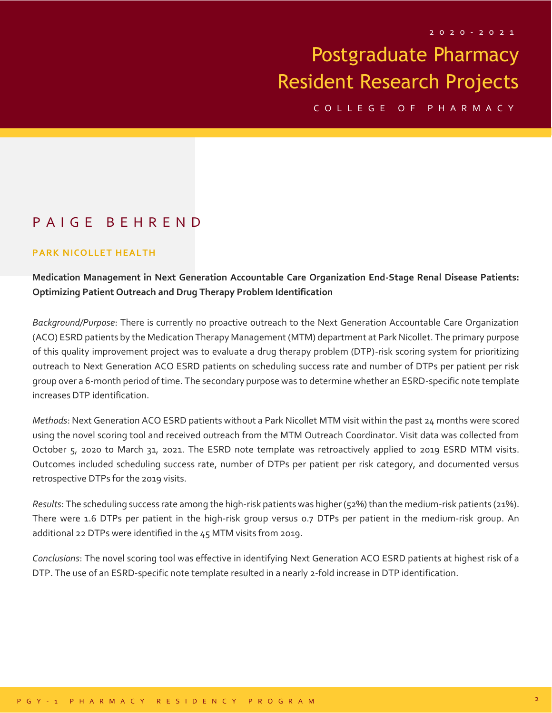C O L L E G E O F P H A R M A C Y

## P A I G E B E H R E N D

#### **PARK NICOLLET HEALTH**

### **Medication Management in Next Generation Accountable Care Organization End-Stage Renal Disease Patients: Optimizing Patient Outreach and Drug Therapy Problem Identification**

*Background/Purpose*: There is currently no proactive outreach to the Next Generation Accountable Care Organization (ACO) ESRD patients by the Medication Therapy Management (MTM) department at Park Nicollet. The primary purpose of this quality improvement project was to evaluate a drug therapy problem (DTP)-risk scoring system for prioritizing outreach to Next Generation ACO ESRD patients on scheduling success rate and number of DTPs per patient per risk group over a 6-month period of time. The secondary purpose was to determine whether an ESRD-specific note template increases DTP identification.

*Methods*: Next Generation ACO ESRD patients without a Park Nicollet MTM visit within the past 24 months were scored using the novel scoring tool and received outreach from the MTM Outreach Coordinator. Visit data was collected from October 5, 2020 to March 31, 2021. The ESRD note template was retroactively applied to 2019 ESRD MTM visits. Outcomes included scheduling success rate, number of DTPs per patient per risk category, and documented versus retrospective DTPs for the 2019 visits.

*Results*: The scheduling success rate among the high-risk patients was higher (52%) than the medium-risk patients (21%). There were 1.6 DTPs per patient in the high-risk group versus 0.7 DTPs per patient in the medium-risk group. An additional 22 DTPs were identified in the 45 MTM visits from 2019.

*Conclusions*: The novel scoring tool was effective in identifying Next Generation ACO ESRD patients at highest risk of a DTP. The use of an ESRD-specific note template resulted in a nearly 2-fold increase in DTP identification.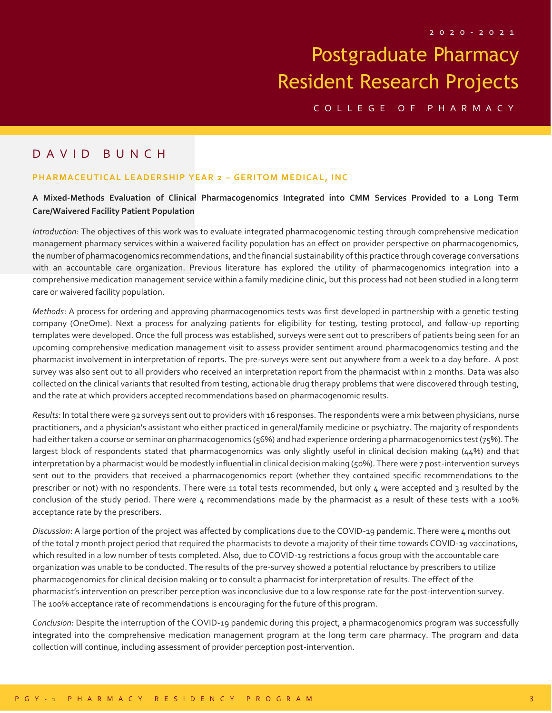C O L L E G E O F P H A R M A C Y

### D A V I D B U N C H

#### **PHARMACEUTICAL LEADERSHIP YEAR 2 - GERITOM MEDICAL, INC**

#### **A Mixed-Methods Evaluation of Clinical Pharmacogenomics Integrated into CMM Services Provided to a Long Term Care/Waivered Facility Patient Population**

*Introduction*: The objectives of this work was to evaluate integrated pharmacogenomic testing through comprehensive medication management pharmacy services within a waivered facility population has an effect on provider perspective on pharmacogenomics, the number of pharmacogenomics recommendations, and the financial sustainability of this practice through coverage conversations with an accountable care organization. Previous literature has explored the utility of pharmacogenomics integration into a comprehensive medication management service within a family medicine clinic, but this process had not been studied in a long term care or waivered facility population.

*Methods*: A process for ordering and approving pharmacogenomics tests was first developed in partnership with a genetic testing company (OneOme). Next a process for analyzing patients for eligibility for testing, testing protocol, and follow-up reporting templates were developed. Once the full process was established, surveys were sent out to prescribers of patients being seen for an upcoming comprehensive medication management visit to assess provider sentiment around pharmacogenomics testing and the pharmacist involvement in interpretation of reports. The pre-surveys were sent out anywhere from a week to a day before. A post survey was also sent out to all providers who received an interpretation report from the pharmacist within 2 months. Data was also collected on the clinical variants that resulted from testing, actionable drug therapy problems that were discovered through testing, and the rate at which providers accepted recommendations based on pharmacogenomic results.

*Results*: In total there were 92 surveys sent out to providers with 16 responses. The respondents were a mix between physicians, nurse practitioners, and a physician's assistant who either practiced in general/family medicine or psychiatry. The majority of respondents had either taken a course or seminar on pharmacogenomics (56%) and had experience ordering a pharmacogenomics test (75%). The largest block of respondents stated that pharmacogenomics was only slightly useful in clinical decision making (44%) and that interpretation by a pharmacist would be modestly influential in clinical decision making (50%). There were 7 post-intervention surveys sent out to the providers that received a pharmacogenomics report (whether they contained specific recommendations to the prescriber or not) with no respondents. There were 11 total tests recommended, but only 4 were accepted and 3 resulted by the conclusion of the study period. There were 4 recommendations made by the pharmacist as a result of these tests with a 100% acceptance rate by the prescribers.

*Discussion*: A large portion of the project was affected by complications due to the COVID-19 pandemic. There were 4 months out of the total 7 month project period that required the pharmacists to devote a majority of their time towards COVID-19 vaccinations, which resulted in a low number of tests completed. Also, due to COVID-19 restrictions a focus group with the accountable care organization was unable to be conducted. The results of the pre-survey showed a potential reluctance by prescribers to utilize pharmacogenomics for clinical decision making or to consult a pharmacist for interpretation of results. The effect of the pharmacist's intervention on prescriber perception was inconclusive due to a low response rate for the post-intervention survey. The 100% acceptance rate of recommendations is encouraging for the future of this program.

*Conclusion*: Despite the interruption of the COVID-19 pandemic during this project, a pharmacogenomics program was successfully integrated into the comprehensive medication management program at the long term care pharmacy. The program and data collection will continue, including assessment of provider perception post-intervention.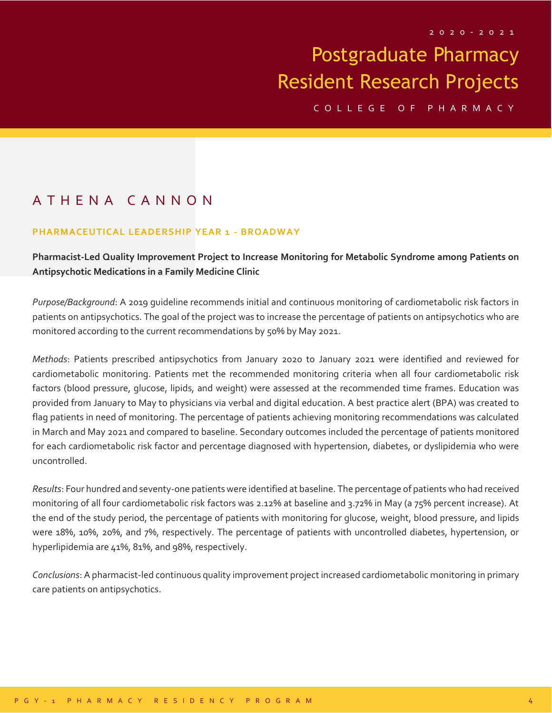C O L L E G E O F P H A R M A C Y

## A T H E N A C A N N O N

#### **PHARMACEUTICAL LEADERSHIP YEAR 1 - B ROADWAY**

**Pharmacist-Led Quality Improvement Project to Increase Monitoring for Metabolic Syndrome among Patients on Antipsychotic Medications in a Family Medicine Clinic**

*Purpose/Background*: A 2019 guideline recommends initial and continuous monitoring of cardiometabolic risk factors in patients on antipsychotics. The goal of the project was to increase the percentage of patients on antipsychotics who are monitored according to the current recommendations by 50% by May 2021.

*Methods*: Patients prescribed antipsychotics from January 2020 to January 2021 were identified and reviewed for cardiometabolic monitoring. Patients met the recommended monitoring criteria when all four cardiometabolic risk factors (blood pressure, glucose, lipids, and weight) were assessed at the recommended time frames. Education was provided from January to May to physicians via verbal and digital education. A best practice alert (BPA) was created to flag patients in need of monitoring. The percentage of patients achieving monitoring recommendations was calculated in March and May 2021 and compared to baseline. Secondary outcomes included the percentage of patients monitored for each cardiometabolic risk factor and percentage diagnosed with hypertension, diabetes, or dyslipidemia who were uncontrolled.

*Results*: Four hundred and seventy-one patients were identified at baseline. The percentage of patients who had received monitoring of all four cardiometabolic risk factors was 2.12% at baseline and 3.72% in May (a 75% percent increase). At the end of the study period, the percentage of patients with monitoring for glucose, weight, blood pressure, and lipids were 18%, 10%, 20%, and 7%, respectively. The percentage of patients with uncontrolled diabetes, hypertension, or hyperlipidemia are 41%, 81%, and 98%, respectively.

*Conclusions*: A pharmacist-led continuous quality improvement project increased cardiometabolic monitoring in primary care patients on antipsychotics.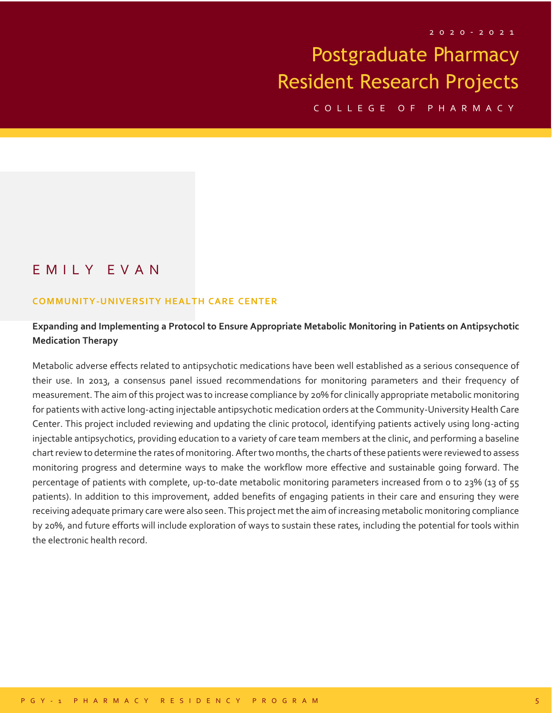C O L L E G E O F P H A R M A C Y

### E M I L Y E V A N

#### **COMMUNITY-UNIVERSITY HEALTH CARE CENTER**

### **Expanding and Implementing a Protocol to Ensure Appropriate Metabolic Monitoring in Patients on Antipsychotic Medication Therapy**

Metabolic adverse effects related to antipsychotic medications have been well established as a serious consequence of their use. In 2013, a consensus panel issued recommendations for monitoring parameters and their frequency of measurement. The aim of this project was to increase compliance by 20% for clinically appropriate metabolic monitoring for patients with active long-acting injectable antipsychotic medication orders at the Community-University Health Care Center. This project included reviewing and updating the clinic protocol, identifying patients actively using long-acting injectable antipsychotics, providing education to a variety of care team members at the clinic, and performing a baseline chart review to determine the rates of monitoring. After two months, the charts of these patients were reviewed to assess monitoring progress and determine ways to make the workflow more effective and sustainable going forward. The percentage of patients with complete, up-to-date metabolic monitoring parameters increased from o to 23% (13 of 55 patients). In addition to this improvement, added benefits of engaging patients in their care and ensuring they were receiving adequate primary care were also seen. This project met the aim of increasing metabolic monitoring compliance by 20%, and future efforts will include exploration of ways to sustain these rates, including the potential for tools within the electronic health record.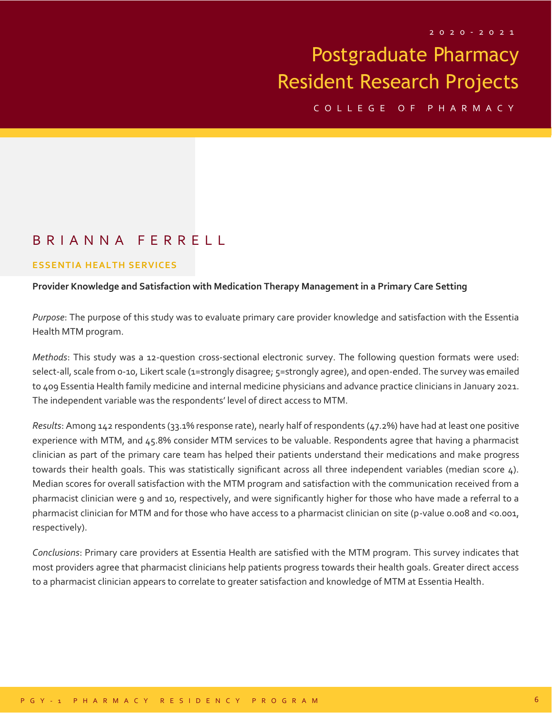C O L L E G E O F P H A R M A C Y

### B R I A N N A F E R R E L L

#### **ESSENTIA HEALTH SERVICES**

#### **Provider Knowledge and Satisfaction with Medication Therapy Management in a Primary Care Setting**

*Purpose*: The purpose of this study was to evaluate primary care provider knowledge and satisfaction with the Essentia Health MTM program.

*Methods*: This study was a 12-question cross-sectional electronic survey. The following question formats were used: select-all, scale from 0-10, Likert scale (1=strongly disagree; 5=strongly agree), and open-ended. The survey was emailed to 409 Essentia Health family medicine and internal medicine physicians and advance practice clinicians in January 2021. The independent variable was the respondents' level of direct access to MTM.

*Results*: Among 142 respondents (33.1% response rate), nearly half of respondents (47.2%) have had at least one positive experience with MTM, and 45.8% consider MTM services to be valuable. Respondents agree that having a pharmacist clinician as part of the primary care team has helped their patients understand their medications and make progress towards their health goals. This was statistically significant across all three independent variables (median score 4). Median scores for overall satisfaction with the MTM program and satisfaction with the communication received from a pharmacist clinician were 9 and 10, respectively, and were significantly higher for those who have made a referral to a pharmacist clinician for MTM and for those who have access to a pharmacist clinician on site (p-value 0.008 and <0.001, respectively).

*Conclusions*: Primary care providers at Essentia Health are satisfied with the MTM program. This survey indicates that most providers agree that pharmacist clinicians help patients progress towards their health goals. Greater direct access to a pharmacist clinician appears to correlate to greater satisfaction and knowledge of MTM at Essentia Health.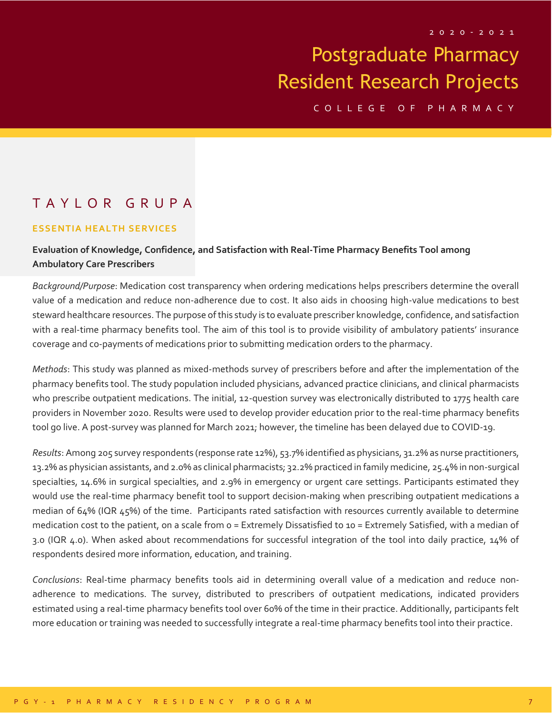C O L L E G E O F P H A R M A C Y

## T A Y L O R G R U P A

#### **ESSENTIA HEALTH SERVICES**

### **Evaluation of Knowledge, Confidence, and Satisfaction with Real-Time Pharmacy Benefits Tool among Ambulatory Care Prescribers**

*Background/Purpose*: Medication cost transparency when ordering medications helps prescribers determine the overall value of a medication and reduce non-adherence due to cost. It also aids in choosing high-value medications to best steward healthcare resources. The purpose of this study is to evaluate prescriber knowledge, confidence, and satisfaction with a real-time pharmacy benefits tool. The aim of this tool is to provide visibility of ambulatory patients' insurance coverage and co-payments of medications prior to submitting medication orders to the pharmacy.

*Methods*: This study was planned as mixed-methods survey of prescribers before and after the implementation of the pharmacy benefits tool. The study population included physicians, advanced practice clinicians, and clinical pharmacists who prescribe outpatient medications. The initial, 12-question survey was electronically distributed to 1775 health care providers in November 2020. Results were used to develop provider education prior to the real-time pharmacy benefits tool go live. A post-survey was planned for March 2021; however, the timeline has been delayed due to COVID-19.

*Results*: Among 205 survey respondents (response rate 12%), 53.7% identified as physicians, 31.2% as nurse practitioners, 13.2% as physician assistants, and 2.0% as clinical pharmacists; 32.2% practiced in family medicine, 25.4% in non-surgical specialties, 14.6% in surgical specialties, and 2.9% in emergency or urgent care settings. Participants estimated they would use the real-time pharmacy benefit tool to support decision-making when prescribing outpatient medications a median of 64% (IQR 45%) of the time. Participants rated satisfaction with resources currently available to determine medication cost to the patient, on a scale from 0 = Extremely Dissatisfied to 10 = Extremely Satisfied, with a median of 3.0 (IQR 4.0). When asked about recommendations for successful integration of the tool into daily practice, 14% of respondents desired more information, education, and training.

*Conclusions*: Real-time pharmacy benefits tools aid in determining overall value of a medication and reduce nonadherence to medications. The survey, distributed to prescribers of outpatient medications, indicated providers estimated using a real-time pharmacy benefits tool over 60% of the time in their practice. Additionally, participants felt more education or training was needed to successfully integrate a real-time pharmacy benefits tool into their practice.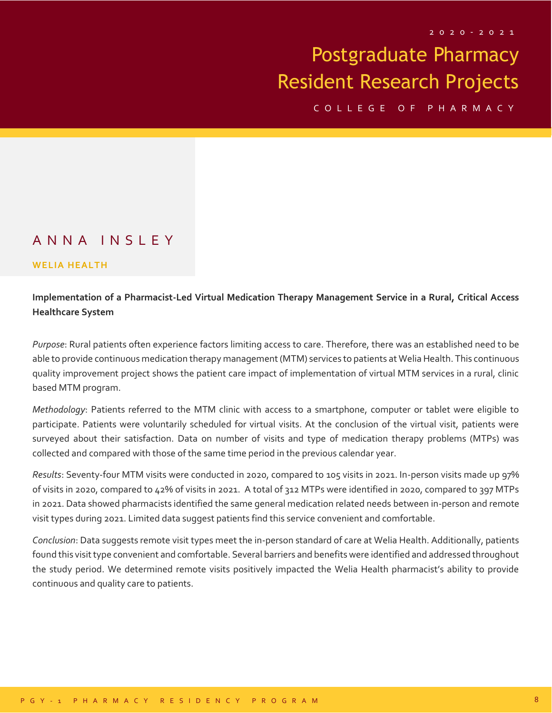C O L L E G E O F P H A R M A C Y

### A N N A I N S L E Y

#### **WELIA HEALTH**

### **Implementation of a Pharmacist-Led Virtual Medication Therapy Management Service in a Rural, Critical Access Healthcare System**

*Purpose*: Rural patients often experience factors limiting access to care. Therefore, there was an established need to be able to provide continuous medication therapy management (MTM) services to patients at Welia Health. This continuous quality improvement project shows the patient care impact of implementation of virtual MTM services in a rural, clinic based MTM program.

*Methodology*: Patients referred to the MTM clinic with access to a smartphone, computer or tablet were eligible to participate. Patients were voluntarily scheduled for virtual visits. At the conclusion of the virtual visit, patients were surveyed about their satisfaction. Data on number of visits and type of medication therapy problems (MTPs) was collected and compared with those of the same time period in the previous calendar year.

*Results*: Seventy-four MTM visits were conducted in 2020, compared to 105 visits in 2021. In-person visits made up 97% of visits in 2020, compared to 42% of visits in 2021. A total of 312 MTPs were identified in 2020, compared to 397 MTPs in 2021. Data showed pharmacists identified the same general medication related needs between in-person and remote visit types during 2021. Limited data suggest patients find this service convenient and comfortable.

*Conclusion*: Data suggests remote visit types meet the in-person standard of care at Welia Health. Additionally, patients found this visit type convenient and comfortable. Several barriers and benefits were identified and addressed throughout the study period. We determined remote visits positively impacted the Welia Health pharmacist's ability to provide continuous and quality care to patients.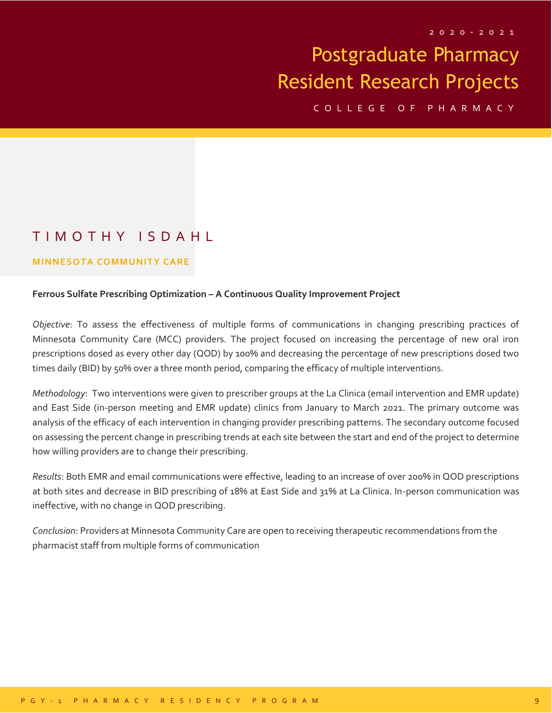C O L L E G E O F P H A R M A C Y

## T I M O T H Y I S D A H L

#### **MINNESOTA COMMUNITY CARE**

#### **Ferrous Sulfate Prescribing Optimization – A Continuous Quality Improvement Project**

*Objective*: To assess the effectiveness of multiple forms of communications in changing prescribing practices of Minnesota Community Care (MCC) providers. The project focused on increasing the percentage of new oral iron prescriptions dosed as every other day (QOD) by 100% and decreasing the percentage of new prescriptions dosed two times daily (BID) by 50% over a three month period, comparing the efficacy of multiple interventions.

*Methodology*: Two interventions were given to prescriber groups at the La Clinica (email intervention and EMR update) and East Side (in-person meeting and EMR update) clinics from January to March 2021. The primary outcome was analysis of the efficacy of each intervention in changing provider prescribing patterns. The secondary outcome focused on assessing the percent change in prescribing trends at each site between the start and end of the project to determine how willing providers are to change their prescribing.

*Results*: Both EMR and email communications were effective, leading to an increase of over 200% in QOD prescriptions at both sites and decrease in BID prescribing of 18% at East Side and 31% at La Clinica. In-person communication was ineffective, with no change in QOD prescribing.

*Conclusion*: Providers at Minnesota Community Care are open to receiving therapeutic recommendations from the pharmacist staff from multiple forms of communication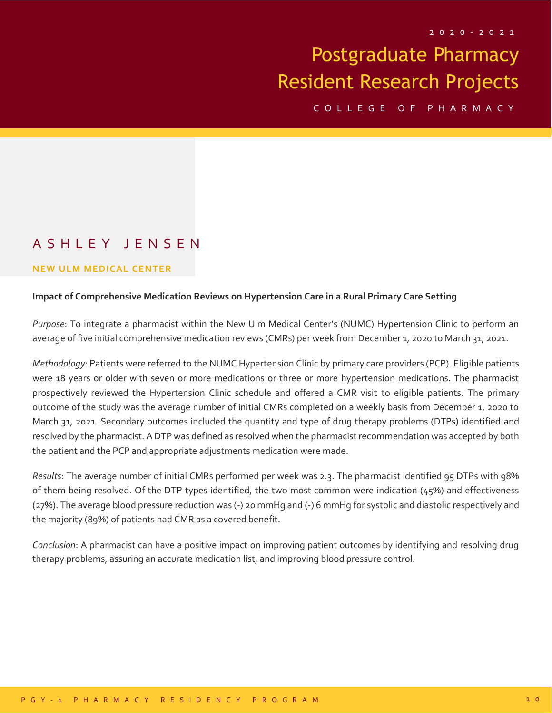C O L L E G E O F P H A R M A C Y

## A S H L E Y J E N S E N

#### **NEW ULM MEDICAL CENTER**

#### **Impact of Comprehensive Medication Reviews on Hypertension Care in a Rural Primary Care Setting**

*Purpose*: To integrate a pharmacist within the New Ulm Medical Center's (NUMC) Hypertension Clinic to perform an average of five initial comprehensive medication reviews (CMRs) per week from December 1, 2020 to March 31, 2021.

*Methodology*: Patients were referred to the NUMC Hypertension Clinic by primary care providers (PCP). Eligible patients were 18 years or older with seven or more medications or three or more hypertension medications. The pharmacist prospectively reviewed the Hypertension Clinic schedule and offered a CMR visit to eligible patients. The primary outcome of the study was the average number of initial CMRs completed on a weekly basis from December 1, 2020 to March 31, 2021. Secondary outcomes included the quantity and type of drug therapy problems (DTPs) identified and resolved by the pharmacist. A DTP was defined as resolved when the pharmacist recommendation was accepted by both the patient and the PCP and appropriate adjustments medication were made.

*Results*: The average number of initial CMRs performed per week was 2.3. The pharmacist identified 95 DTPs with 98% of them being resolved. Of the DTP types identified, the two most common were indication  $(45%)$  and effectiveness (27%). The average blood pressure reduction was (-) 20 mmHg and (-) 6 mmHg for systolic and diastolic respectively and the majority (89%) of patients had CMR as a covered benefit.

*Conclusion*: A pharmacist can have a positive impact on improving patient outcomes by identifying and resolving drug therapy problems, assuring an accurate medication list, and improving blood pressure control.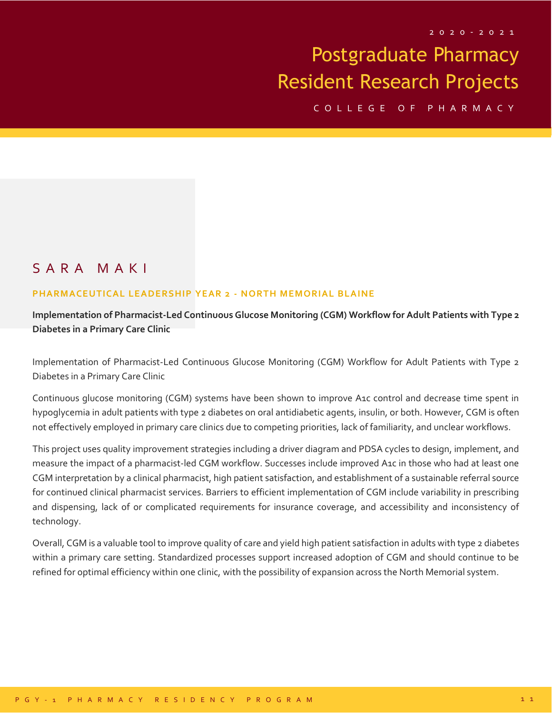C O L L E G E O F P H A R M A C Y

## S A R A M A K I

#### **PHARMACEUTICAL LEADERSHIP YEAR 2 - NORTH MEMORIAL BLAINE**

**Implementation of Pharmacist-Led Continuous Glucose Monitoring (CGM) Workflow for Adult Patients with Type 2 Diabetes in a Primary Care Clinic**

Implementation of Pharmacist-Led Continuous Glucose Monitoring (CGM) Workflow for Adult Patients with Type 2 Diabetes in a Primary Care Clinic

Continuous glucose monitoring (CGM) systems have been shown to improve A1c control and decrease time spent in hypoglycemia in adult patients with type 2 diabetes on oral antidiabetic agents, insulin, or both. However, CGM is often not effectively employed in primary care clinics due to competing priorities, lack of familiarity, and unclear workflows.

This project uses quality improvement strategies including a driver diagram and PDSA cycles to design, implement, and measure the impact of a pharmacist-led CGM workflow. Successes include improved A1c in those who had at least one CGM interpretation by a clinical pharmacist, high patient satisfaction, and establishment of a sustainable referral source for continued clinical pharmacist services. Barriers to efficient implementation of CGM include variability in prescribing and dispensing, lack of or complicated requirements for insurance coverage, and accessibility and inconsistency of technology.

Overall, CGM is a valuable tool to improve quality of care and yield high patient satisfaction in adults with type 2 diabetes within a primary care setting. Standardized processes support increased adoption of CGM and should continue to be refined for optimal efficiency within one clinic, with the possibility of expansion across the North Memorial system.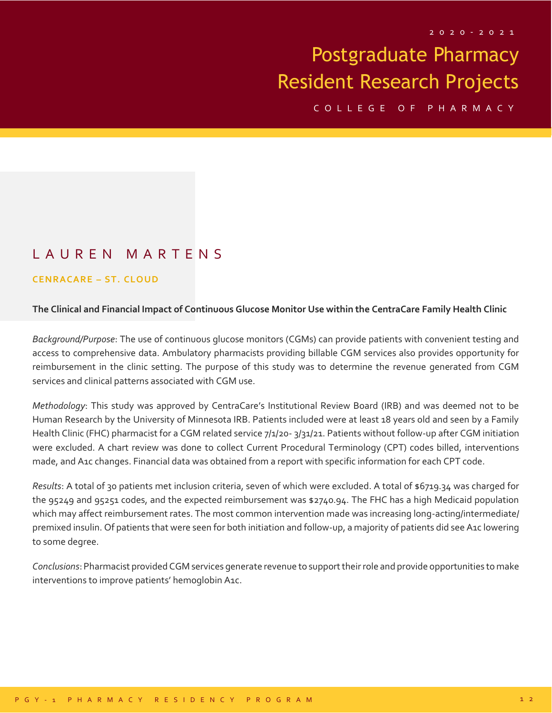C O L L E G E O F P H A R M A C Y

## L A U R E N M A R T E N S

#### **CENRACARE – ST. CLOUD**

#### **The Clinical and Financial Impact of Continuous Glucose Monitor Use within the CentraCare Family Health Clinic**

*Background/Purpose*: The use of continuous glucose monitors (CGMs) can provide patients with convenient testing and access to comprehensive data. Ambulatory pharmacists providing billable CGM services also provides opportunity for reimbursement in the clinic setting. The purpose of this study was to determine the revenue generated from CGM services and clinical patterns associated with CGM use.

*Methodology*: This study was approved by CentraCare's Institutional Review Board (IRB) and was deemed not to be Human Research by the University of Minnesota IRB. Patients included were at least 18 years old and seen by a Family Health Clinic (FHC) pharmacist for a CGM related service 7/1/20- 3/31/21. Patients without follow-up after CGM initiation were excluded. A chart review was done to collect Current Procedural Terminology (CPT) codes billed, interventions made, and A1c changes. Financial data was obtained from a report with specific information for each CPT code.

*Results*: A total of 30 patients met inclusion criteria, seven of which were excluded. A total of \$6719.34 was charged for the 95249 and 95251 codes, and the expected reimbursement was \$2740.94. The FHC has a high Medicaid population which may affect reimbursement rates. The most common intervention made was increasing long-acting/intermediate/ premixed insulin. Of patients that were seen for both initiation and follow-up, a majority of patients did see A1c lowering to some degree.

*Conclusions*: Pharmacist provided CGM services generate revenue to support their role and provide opportunities to make interventions to improve patients' hemoglobin A1c.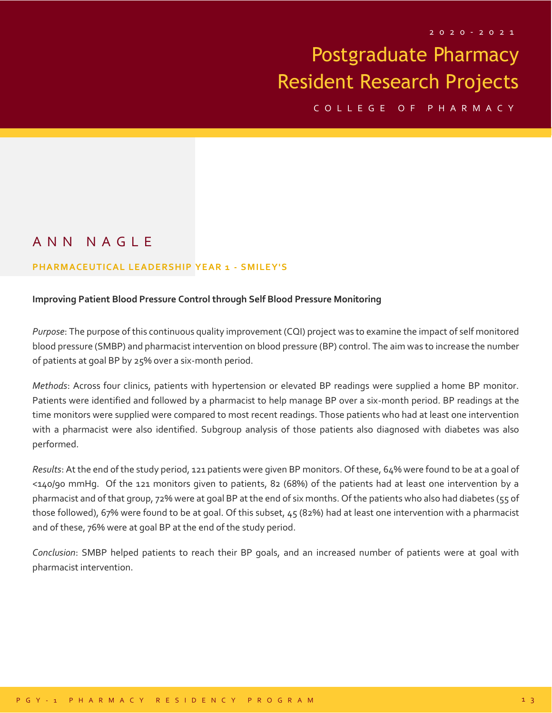C O L L E G E O F P H A R M A C Y

## A N N N A G L E

#### **PHARMACEUTICAL LEADERSHIP YEAR 1 - S MILEY'S**

#### **Improving Patient Blood Pressure Control through Self Blood Pressure Monitoring**

*Purpose*: The purpose of this continuous quality improvement (CQI) project was to examine the impact of self monitored blood pressure (SMBP) and pharmacist intervention on blood pressure (BP) control. The aim was to increase the number of patients at goal BP by 25% over a six-month period.

*Methods*: Across four clinics, patients with hypertension or elevated BP readings were supplied a home BP monitor. Patients were identified and followed by a pharmacist to help manage BP over a six-month period. BP readings at the time monitors were supplied were compared to most recent readings. Those patients who had at least one intervention with a pharmacist were also identified. Subgroup analysis of those patients also diagnosed with diabetes was also performed.

*Results*: At the end of the study period, 121 patients were given BP monitors. Of these, 64% were found to be at a goal of <140/90 mmHg. Of the 121 monitors given to patients, 82 (68%) of the patients had at least one intervention by a pharmacist and of that group, 72% were at goal BP at the end of six months. Of the patients who also had diabetes (55 of those followed), 67% were found to be at goal. Of this subset,  $45(82%)$  had at least one intervention with a pharmacist and of these, 76% were at goal BP at the end of the study period.

*Conclusion*: SMBP helped patients to reach their BP goals, and an increased number of patients were at goal with pharmacist intervention.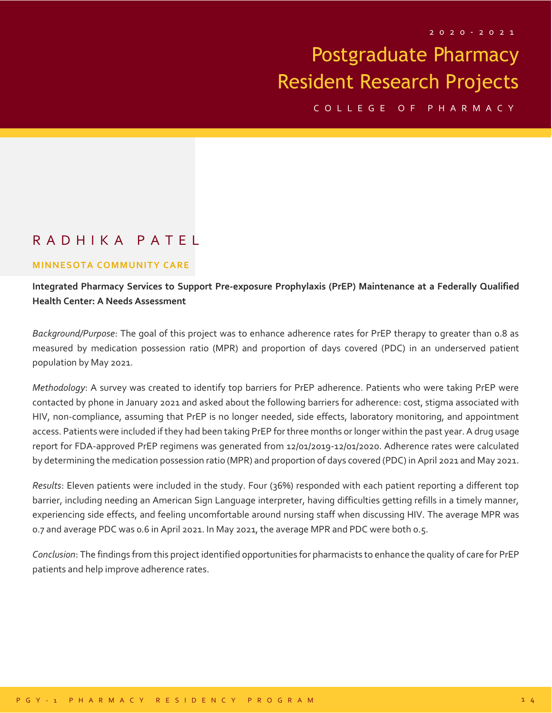C O L L E G E O F P H A R M A C Y

### R A D H I K A P A T E L

#### **MINNESOTA COMMUNITY CARE**

**Integrated Pharmacy Services to Support Pre-exposure Prophylaxis (PrEP) Maintenance at a Federally Qualified Health Center: A Needs Assessment**

*Background/Purpose*: The goal of this project was to enhance adherence rates for PrEP therapy to greater than 0.8 as measured by medication possession ratio (MPR) and proportion of days covered (PDC) in an underserved patient population by May 2021.

*Methodology*: A survey was created to identify top barriers for PrEP adherence. Patients who were taking PrEP were contacted by phone in January 2021 and asked about the following barriers for adherence: cost, stigma associated with HIV, non-compliance, assuming that PrEP is no longer needed, side effects, laboratory monitoring, and appointment access. Patients were included if they had been taking PrEP for three months or longer within the past year. A drug usage report for FDA-approved PrEP regimens was generated from 12/01/2019-12/01/2020. Adherence rates were calculated by determining the medication possession ratio (MPR) and proportion of days covered (PDC) in April 2021 and May 2021.

*Results*: Eleven patients were included in the study. Four (36%) responded with each patient reporting a different top barrier, including needing an American Sign Language interpreter, having difficulties getting refills in a timely manner, experiencing side effects, and feeling uncomfortable around nursing staff when discussing HIV. The average MPR was 0.7 and average PDC was 0.6 in April 2021. In May 2021, the average MPR and PDC were both 0.5.

*Conclusion*: The findings from this project identified opportunities for pharmacists to enhance the quality of care for PrEP patients and help improve adherence rates.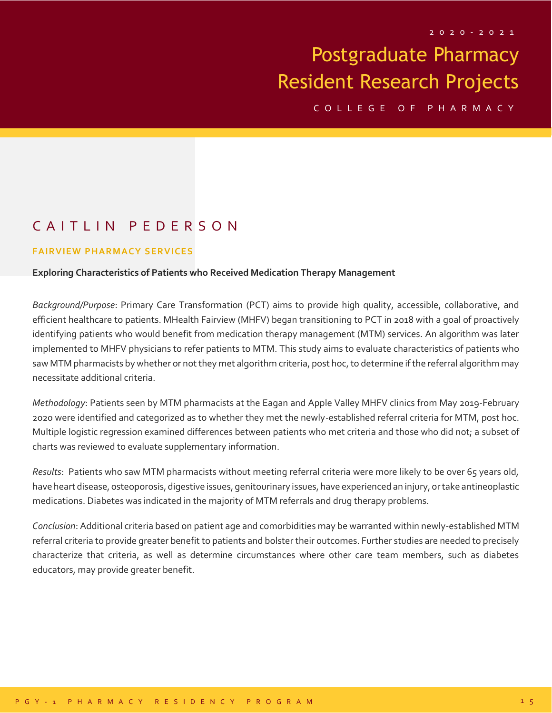C O L L E G E O F P H A R M A C Y

## CAITLIN PEDERSON

#### **FAIRVIEW PHARMACY SERVICES**

#### **Exploring Characteristics of Patients who Received Medication Therapy Management**

*Background/Purpose*: Primary Care Transformation (PCT) aims to provide high quality, accessible, collaborative, and efficient healthcare to patients. MHealth Fairview (MHFV) began transitioning to PCT in 2018 with a goal of proactively identifying patients who would benefit from medication therapy management (MTM) services. An algorithm was later implemented to MHFV physicians to refer patients to MTM. This study aims to evaluate characteristics of patients who saw MTM pharmacists by whether or not they met algorithm criteria, post hoc, to determine if the referral algorithm may necessitate additional criteria.

*Methodology*: Patients seen by MTM pharmacists at the Eagan and Apple Valley MHFV clinics from May 2019-February 2020 were identified and categorized as to whether they met the newly-established referral criteria for MTM, post hoc. Multiple logistic regression examined differences between patients who met criteria and those who did not; a subset of charts was reviewed to evaluate supplementary information.

*Results*: Patients who saw MTM pharmacists without meeting referral criteria were more likely to be over 65 years old, have heart disease, osteoporosis, digestive issues, genitourinary issues, have experienced an injury, or take antineoplastic medications. Diabetes was indicated in the majority of MTM referrals and drug therapy problems.

*Conclusion*: Additional criteria based on patient age and comorbidities may be warranted within newly-established MTM referral criteria to provide greater benefit to patients and bolster their outcomes. Further studies are needed to precisely characterize that criteria, as well as determine circumstances where other care team members, such as diabetes educators, may provide greater benefit.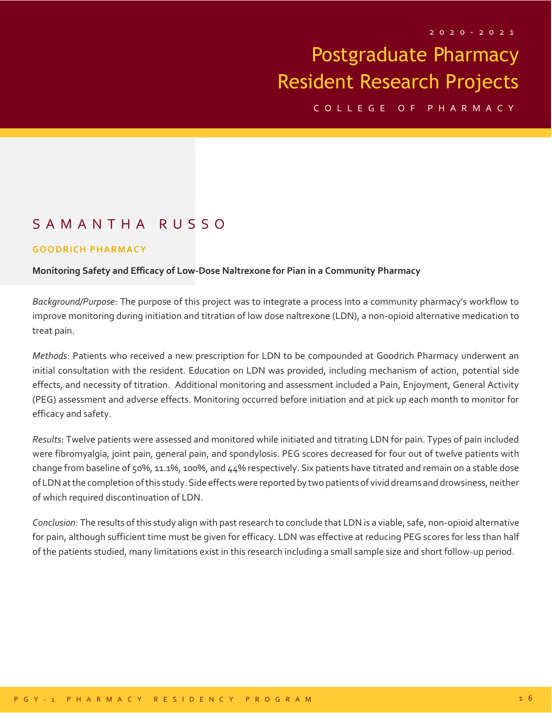C O L L E G E O F P H A R M A C Y

## S A M A N T H A R U S S O

#### **GOODRICH PHARMACY**

#### **Monitoring Safety and Efficacy of Low-Dose Naltrexone for Pian in a Community Pharmacy**

*Background/Purpose*: The purpose of this project was to integrate a process into a community pharmacy's workflow to improve monitoring during initiation and titration of low dose naltrexone (LDN), a non-opioid alternative medication to treat pain.

*Methods*: Patients who received a new prescription for LDN to be compounded at Goodrich Pharmacy underwent an initial consultation with the resident. Education on LDN was provided, including mechanism of action, potential side effects, and necessity of titration. Additional monitoring and assessment included a Pain, Enjoyment, General Activity (PEG) assessment and adverse effects. Monitoring occurred before initiation and at pick up each month to monitor for efficacy and safety.

*Results*: Twelve patients were assessed and monitored while initiated and titrating LDN for pain. Types of pain included were fibromyalgia, joint pain, general pain, and spondylosis. PEG scores decreased for four out of twelve patients with change from baseline of 50%, 11.1%, 100%, and 44% respectively. Six patients have titrated and remain on a stable dose of LDN at the completion of this study. Side effects were reported by two patients of vivid dreams and drowsiness, neither of which required discontinuation of LDN.

*Conclusion*: The results of this study align with past research to conclude that LDN is a viable, safe, non-opioid alternative for pain, although sufficient time must be given for efficacy. LDN was effective at reducing PEG scores for less than half of the patients studied, many limitations exist in this research including a small sample size and short follow-up period.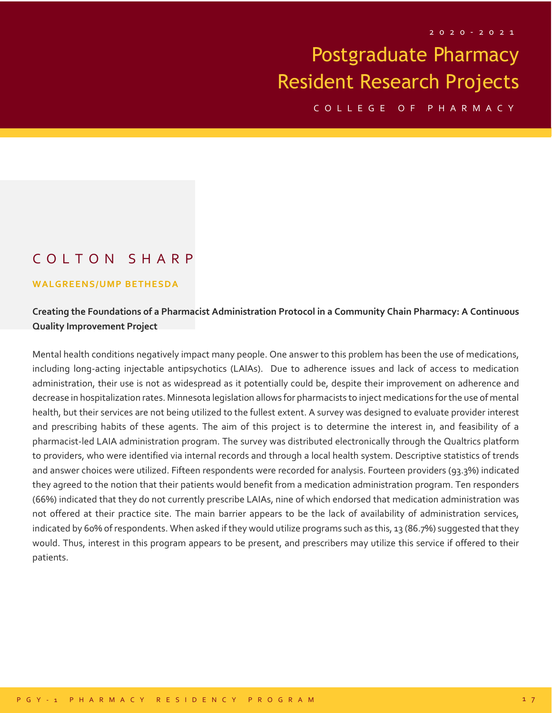C O L L E G E O F P H A R M A C Y

## C O L T O N S H A R P

#### **WALGREENS/UMP BETHESDA**

### **Creating the Foundations of a Pharmacist Administration Protocol in a Community Chain Pharmacy: A Continuous Quality Improvement Project**

Mental health conditions negatively impact many people. One answer to this problem has been the use of medications, including long-acting injectable antipsychotics (LAIAs). Due to adherence issues and lack of access to medication administration, their use is not as widespread as it potentially could be, despite their improvement on adherence and decrease in hospitalization rates. Minnesota legislation allows for pharmacists to inject medications for the use of mental health, but their services are not being utilized to the fullest extent. A survey was designed to evaluate provider interest and prescribing habits of these agents. The aim of this project is to determine the interest in, and feasibility of a pharmacist-led LAIA administration program. The survey was distributed electronically through the Qualtrics platform to providers, who were identified via internal records and through a local health system. Descriptive statistics of trends and answer choices were utilized. Fifteen respondents were recorded for analysis. Fourteen providers (93.3%) indicated they agreed to the notion that their patients would benefit from a medication administration program. Ten responders (66%) indicated that they do not currently prescribe LAIAs, nine of which endorsed that medication administration was not offered at their practice site. The main barrier appears to be the lack of availability of administration services, indicated by 60% of respondents. When asked if they would utilize programs such as this, 13 (86.7%) suggested that they would. Thus, interest in this program appears to be present, and prescribers may utilize this service if offered to their patients.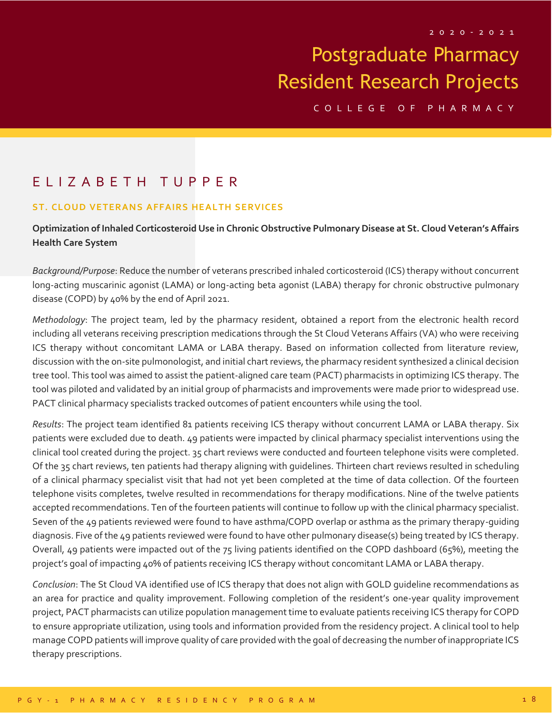C O L L E G E O F P H A R M A C Y

## E L I Z A B E T H T U P P E R

#### **ST. CLOUD VETERANS AFFAIRS HEALTH SERVICES**

### **Optimization of Inhaled Corticosteroid Use in Chronic Obstructive Pulmonary Disease at St. Cloud Veteran's Affairs Health Care System**

*Background/Purpose*: Reduce the number of veterans prescribed inhaled corticosteroid (ICS) therapy without concurrent long-acting muscarinic agonist (LAMA) or long-acting beta agonist (LABA) therapy for chronic obstructive pulmonary disease (COPD) by 40% by the end of April 2021.

*Methodology*: The project team, led by the pharmacy resident, obtained a report from the electronic health record including all veterans receiving prescription medications through the St Cloud Veterans Affairs (VA) who were receiving ICS therapy without concomitant LAMA or LABA therapy. Based on information collected from literature review, discussion with the on-site pulmonologist, and initial chart reviews, the pharmacy resident synthesized a clinical decision tree tool. This tool was aimed to assist the patient-aligned care team (PACT) pharmacists in optimizing ICS therapy. The tool was piloted and validated by an initial group of pharmacists and improvements were made prior to widespread use. PACT clinical pharmacy specialists tracked outcomes of patient encounters while using the tool.

*Results*: The project team identified 81 patients receiving ICS therapy without concurrent LAMA or LABA therapy. Six patients were excluded due to death. 49 patients were impacted by clinical pharmacy specialist interventions using the clinical tool created during the project. 35 chart reviews were conducted and fourteen telephone visits were completed. Of the 35 chart reviews, ten patients had therapy aligning with guidelines. Thirteen chart reviews resulted in scheduling of a clinical pharmacy specialist visit that had not yet been completed at the time of data collection. Of the fourteen telephone visits completes, twelve resulted in recommendations for therapy modifications. Nine of the twelve patients accepted recommendations. Ten of the fourteen patients will continue to follow up with the clinical pharmacy specialist. Seven of the 49 patients reviewed were found to have asthma/COPD overlap or asthma as the primary therapy-guiding diagnosis. Five of the 49 patients reviewed were found to have other pulmonary disease(s) being treated by ICS therapy. Overall, 49 patients were impacted out of the 75 living patients identified on the COPD dashboard (65%), meeting the project's goal of impacting 40% of patients receiving ICS therapy without concomitant LAMA or LABA therapy.

*Conclusion*: The St Cloud VA identified use of ICS therapy that does not align with GOLD guideline recommendations as an area for practice and quality improvement. Following completion of the resident's one-year quality improvement project, PACT pharmacists can utilize population management time to evaluate patients receiving ICS therapy for COPD to ensure appropriate utilization, using tools and information provided from the residency project. A clinical tool to help manage COPD patients will improve quality of care provided with the goal of decreasing the number of inappropriate ICS therapy prescriptions.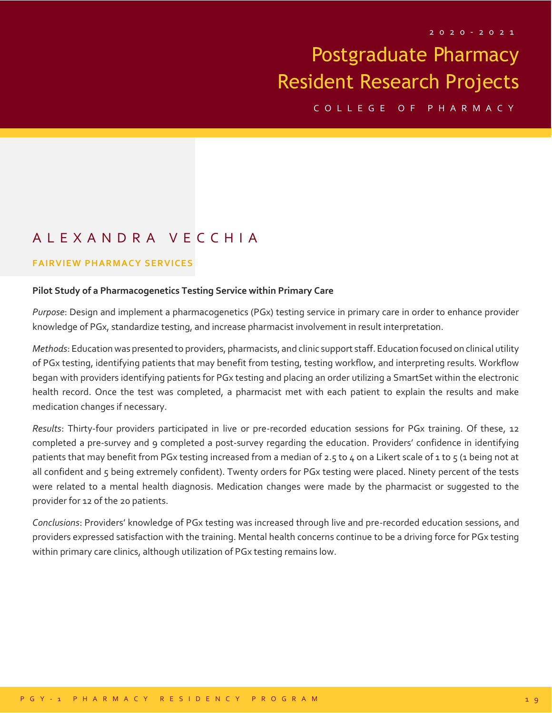C O L L E G E O F P H A R M A C Y

## A L E X A N D R A V E C C H I A

#### **FAIRVIEW PHARMACY SERVICES**

#### **Pilot Study of a Pharmacogenetics Testing Service within Primary Care**

*Purpose*: Design and implement a pharmacogenetics (PGx) testing service in primary care in order to enhance provider knowledge of PGx, standardize testing, and increase pharmacist involvement in result interpretation.

*Methods*: Education was presented to providers, pharmacists, and clinic support staff. Education focused on clinical utility of PGx testing, identifying patients that may benefit from testing, testing workflow, and interpreting results. Workflow began with providers identifying patients for PGx testing and placing an order utilizing a SmartSet within the electronic health record. Once the test was completed, a pharmacist met with each patient to explain the results and make medication changes if necessary.

*Results*: Thirty-four providers participated in live or pre-recorded education sessions for PGx training. Of these, 12 completed a pre-survey and 9 completed a post-survey regarding the education. Providers' confidence in identifying patients that may benefit from PGx testing increased from a median of 2.5 to 4 on a Likert scale of 1 to 5 (1 being not at all confident and  $\zeta$  being extremely confident). Twenty orders for PGx testing were placed. Ninety percent of the tests were related to a mental health diagnosis. Medication changes were made by the pharmacist or suggested to the provider for 12 of the 20 patients.

*Conclusions*: Providers' knowledge of PGx testing was increased through live and pre-recorded education sessions, and providers expressed satisfaction with the training. Mental health concerns continue to be a driving force for PGx testing within primary care clinics, although utilization of PGx testing remains low.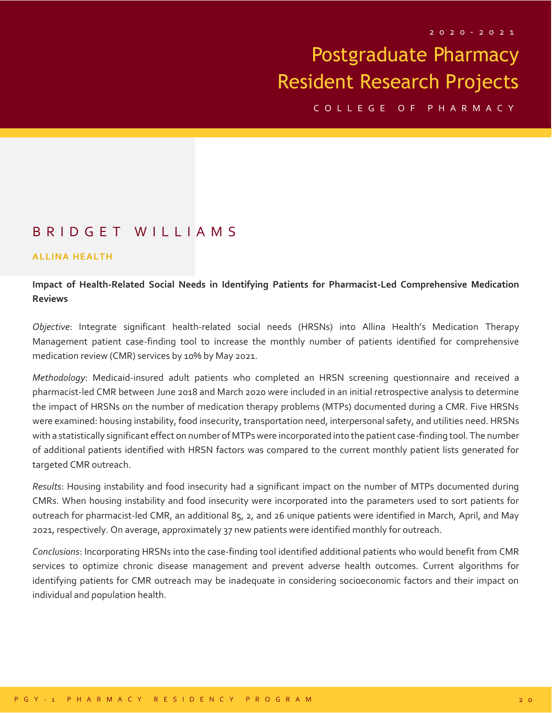C O L L E G E O F P H A R M A C Y

### B R I D G E T W I L L I A M S

#### **ALLINA HEALTH**

### **Impact of Health-Related Social Needs in Identifying Patients for Pharmacist-Led Comprehensive Medication Reviews**

*Objective*: Integrate significant health-related social needs (HRSNs) into Allina Health's Medication Therapy Management patient case-finding tool to increase the monthly number of patients identified for comprehensive medication review (CMR) services by 10% by May 2021.

*Methodology*: Medicaid-insured adult patients who completed an HRSN screening questionnaire and received a pharmacist-led CMR between June 2018 and March 2020 were included in an initial retrospective analysis to determine the impact of HRSNs on the number of medication therapy problems (MTPs) documented during a CMR. Five HRSNs were examined: housing instability, food insecurity, transportation need, interpersonal safety, and utilities need. HRSNs with a statistically significant effect on number of MTPs were incorporated into the patient case-finding tool. The number of additional patients identified with HRSN factors was compared to the current monthly patient lists generated for targeted CMR outreach.

*Results*: Housing instability and food insecurity had a significant impact on the number of MTPs documented during CMRs. When housing instability and food insecurity were incorporated into the parameters used to sort patients for outreach for pharmacist-led CMR, an additional 85, 2, and 26 unique patients were identified in March, April, and May 2021, respectively. On average, approximately 37 new patients were identified monthly for outreach.

*Conclusions*: Incorporating HRSNs into the case-finding tool identified additional patients who would benefit from CMR services to optimize chronic disease management and prevent adverse health outcomes. Current algorithms for identifying patients for CMR outreach may be inadequate in considering socioeconomic factors and their impact on individual and population health.